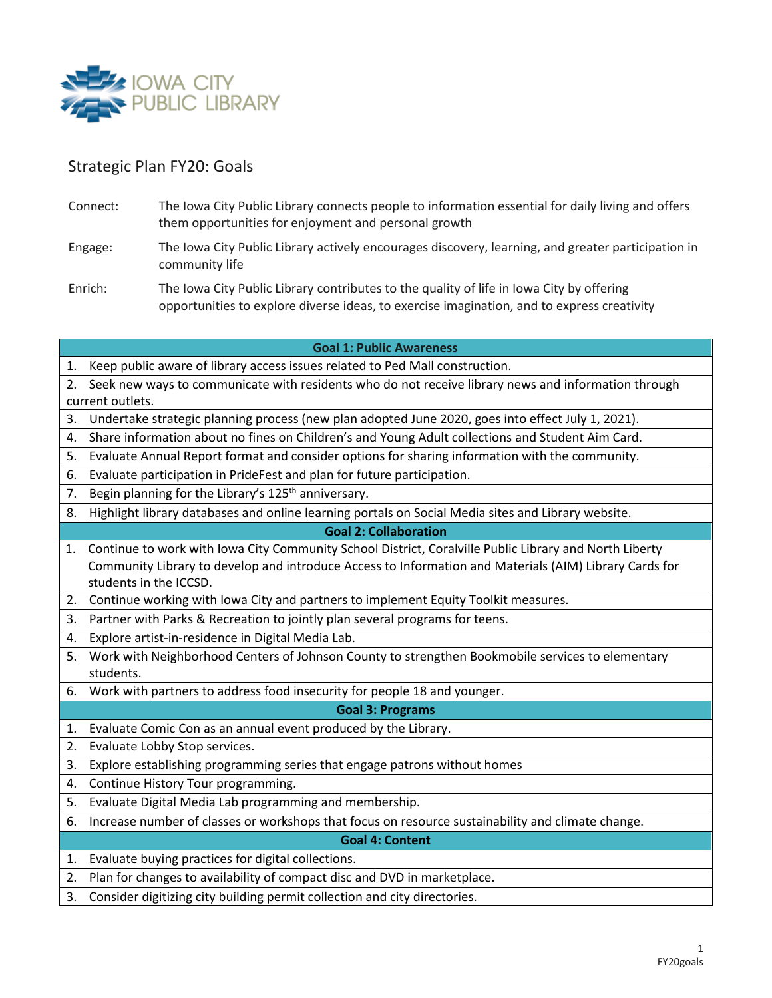

# Strategic Plan FY20: Goals

- Connect: The Iowa City Public Library connects people to information essential for daily living and offers them opportunities for enjoyment and personal growth
- Engage: The Iowa City Public Library actively encourages discovery, learning, and greater participation in community life
- Enrich: The Iowa City Public Library contributes to the quality of life in Iowa City by offering opportunities to explore diverse ideas, to exercise imagination, and to express creativity

## **Goal 1: Public Awareness**

- 1. Keep public aware of library access issues related to Ped Mall construction.
- 2. Seek new ways to communicate with residents who do not receive library news and information through current outlets.
- 3. Undertake strategic planning process (new plan adopted June 2020, goes into effect July 1, 2021).
- 4. Share information about no fines on Children's and Young Adult collections and Student Aim Card.
- 5. Evaluate Annual Report format and consider options for sharing information with the community.
- 6. Evaluate participation in PrideFest and plan for future participation.
- 7. Begin planning for the Library's 125<sup>th</sup> anniversary.
- 8. Highlight library databases and online learning portals on Social Media sites and Library website.

#### **Goal 2: Collaboration**

- 1. Continue to work with Iowa City Community School District, Coralville Public Library and North Liberty Community Library to develop and introduce Access to Information and Materials (AIM) Library Cards for students in the ICCSD.
- 2. Continue working with Iowa City and partners to implement Equity Toolkit measures.
- 3. Partner with Parks & Recreation to jointly plan several programs for teens.
- 4. Explore artist-in-residence in Digital Media Lab.
- 5. Work with Neighborhood Centers of Johnson County to strengthen Bookmobile services to elementary students.
- 6. Work with partners to address food insecurity for people 18 and younger.

#### **Goal 3: Programs**

- 1. Evaluate Comic Con as an annual event produced by the Library.
- 2. Evaluate Lobby Stop services.
- 3. Explore establishing programming series that engage patrons without homes
- 4. Continue History Tour programming.
- 5. Evaluate Digital Media Lab programming and membership.
- 6. Increase number of classes or workshops that focus on resource sustainability and climate change.

#### **Goal 4: Content**

- 1. Evaluate buying practices for digital collections.
- 2. Plan for changes to availability of compact disc and DVD in marketplace.
- 3. Consider digitizing city building permit collection and city directories.